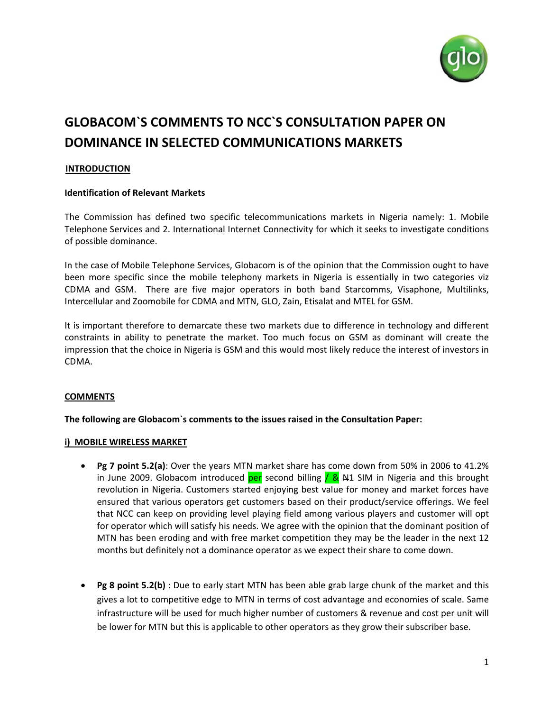

# **GLOBACOM`S COMMENTS TO NCC`S CONSULTATION PAPER ON DOMINANCE IN SELECTED COMMUNICATIONS MARKETS**

## **INTRODUCTION**

## **Identification of Relevant Markets**

The Commission has defined two specific telecommunications markets in Nigeria namely: 1. Mobile Telephone Services and 2. International Internet Connectivity for which it seeks to investigate conditions of possible dominance.

In the case of Mobile Telephone Services, Globacom is of the opinion that the Commission ought to have been more specific since the mobile telephony markets in Nigeria is essentially in two categories viz CDMA and GSM. There are five major operators in both band Starcomms, Visaphone, Multilinks, Intercellular and Zoomobile for CDMA and MTN, GLO, Zain, Etisalat and MTEL for GSM.

It is important therefore to demarcate these two markets due to difference in technology and different constraints in ability to penetrate the market. Too much focus on GSM as dominant will create the impression that the choice in Nigeria is GSM and this would most likely reduce the interest of investors in CDMA.

## **COMMENTS**

#### **The following are Globacom`s comments to the issues raised in the Consultation Paper:**

#### **i) MOBILE WIRELESS MARKET**

- **Pg 7 point 5.2(a)**: Over the years MTN market share has come down from 50% in 2006 to 41.2% in June 2009. Globacom introduced per second billing  $/$  &  $\#1$  SIM in Nigeria and this brought revolution in Nigeria. Customers started enjoying best value for money and market forces have ensured that various operators get customers based on their product/service offerings. We feel that NCC can keep on providing level playing field among various players and customer will opt for operator which will satisfy his needs. We agree with the opinion that the dominant position of MTN has been eroding and with free market competition they may be the leader in the next 12 months but definitely not a dominance operator as we expect their share to come down.
- **Pg 8 point 5.2(b)** : Due to early start MTN has been able grab large chunk of the market and this gives a lot to competitive edge to MTN in terms of cost advantage and economies of scale. Same infrastructure will be used for much higher number of customers & revenue and cost per unit will be lower for MTN but this is applicable to other operators as they grow their subscriber base.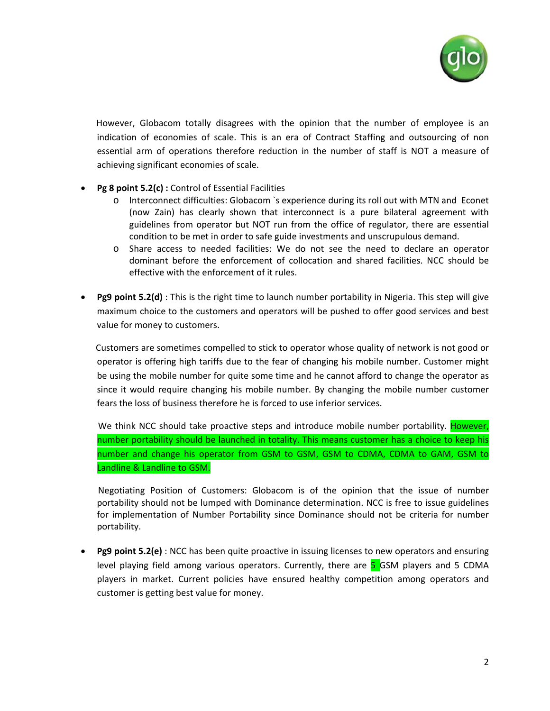

 However, Globacom totally disagrees with the opinion that the number of employee is an indication of economies of scale. This is an era of Contract Staffing and outsourcing of non essential arm of operations therefore reduction in the number of staff is NOT a measure of achieving significant economies of scale.

- **Pg 8 point 5.2(c) :** Control of Essential Facilities
	- o Interconnect difficulties: Globacom `s experience during its roll out with MTN and Econet (now Zain) has clearly shown that interconnect is a pure bilateral agreement with guidelines from operator but NOT run from the office of regulator, there are essential condition to be met in order to safe guide investments and unscrupulous demand.
	- o Share access to needed facilities: We do not see the need to declare an operator dominant before the enforcement of collocation and shared facilities. NCC should be effective with the enforcement of it rules.
- **Pg9 point 5.2(d)** : This is the right time to launch number portability in Nigeria. This step will give maximum choice to the customers and operators will be pushed to offer good services and best value for money to customers.

 Customers are sometimes compelled to stick to operator whose quality of network is not good or operator is offering high tariffs due to the fear of changing his mobile number. Customer might be using the mobile number for quite some time and he cannot afford to change the operator as since it would require changing his mobile number. By changing the mobile number customer fears the loss of business therefore he is forced to use inferior services.

We think NCC should take proactive steps and introduce mobile number portability. However, number portability should be launched in totality. This means customer has a choice to keep his number and change his operator from GSM to GSM, GSM to CDMA, CDMA to GAM, GSM to Landline & Landline to GSM.

 Negotiating Position of Customers: Globacom is of the opinion that the issue of number portability should not be lumped with Dominance determination. NCC is free to issue guidelines for implementation of Number Portability since Dominance should not be criteria for number portability.

• **Pg9 point 5.2(e)** : NCC has been quite proactive in issuing licenses to new operators and ensuring level playing field among various operators. Currently, there are 5 GSM players and 5 CDMA players in market. Current policies have ensured healthy competition among operators and customer is getting best value for money.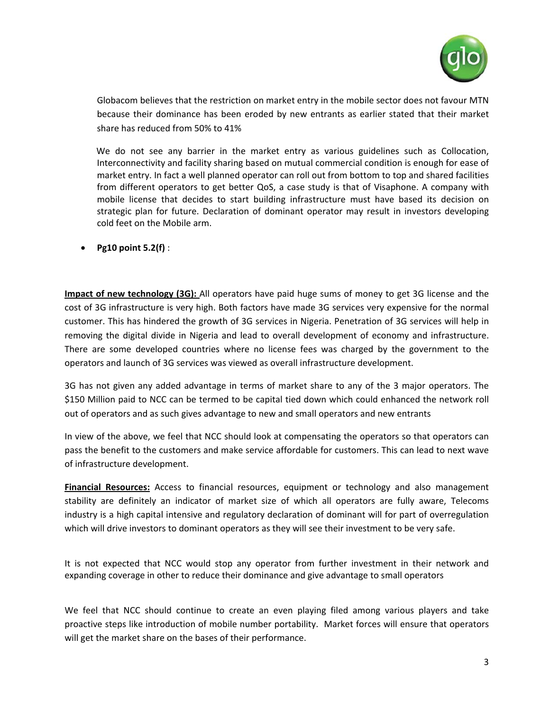

Globacom believes that the restriction on market entry in the mobile sector does not favour MTN because their dominance has been eroded by new entrants as earlier stated that their market share has reduced from 50% to 41%

We do not see any barrier in the market entry as various guidelines such as Collocation, Interconnectivity and facility sharing based on mutual commercial condition is enough for ease of market entry. In fact a well planned operator can roll out from bottom to top and shared facilities from different operators to get better QoS, a case study is that of Visaphone. A company with mobile license that decides to start building infrastructure must have based its decision on strategic plan for future. Declaration of dominant operator may result in investors developing cold feet on the Mobile arm.

• **Pg10 point 5.2(f)** :

**Impact of new technology (3G):** All operators have paid huge sums of money to get 3G license and the cost of 3G infrastructure is very high. Both factors have made 3G services very expensive for the normal customer. This has hindered the growth of 3G services in Nigeria. Penetration of 3G services will help in removing the digital divide in Nigeria and lead to overall development of economy and infrastructure. There are some developed countries where no license fees was charged by the government to the operators and launch of 3G services was viewed as overall infrastructure development.

3G has not given any added advantage in terms of market share to any of the 3 major operators. The \$150 Million paid to NCC can be termed to be capital tied down which could enhanced the network roll out of operators and as such gives advantage to new and small operators and new entrants

In view of the above, we feel that NCC should look at compensating the operators so that operators can pass the benefit to the customers and make service affordable for customers. This can lead to next wave of infrastructure development.

**Financial Resources:** Access to financial resources, equipment or technology and also management stability are definitely an indicator of market size of which all operators are fully aware, Telecoms industry is a high capital intensive and regulatory declaration of dominant will for part of overregulation which will drive investors to dominant operators as they will see their investment to be very safe.

It is not expected that NCC would stop any operator from further investment in their network and expanding coverage in other to reduce their dominance and give advantage to small operators

We feel that NCC should continue to create an even playing filed among various players and take proactive steps like introduction of mobile number portability. Market forces will ensure that operators will get the market share on the bases of their performance.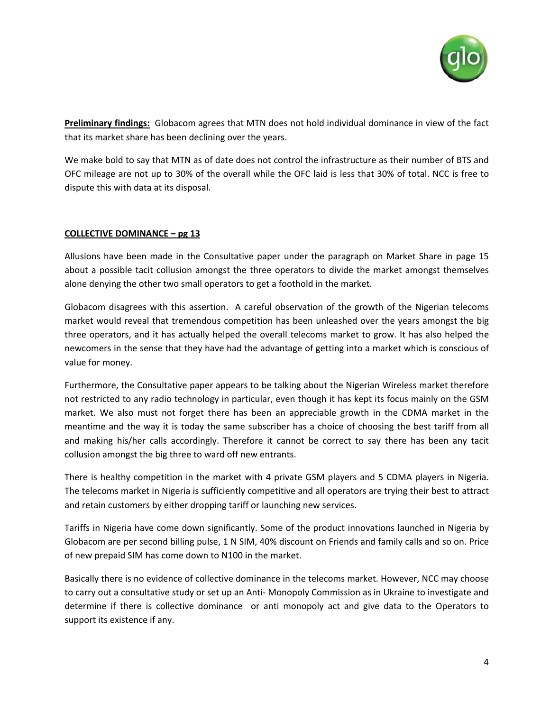

**Preliminary findings:** Globacom agrees that MTN does not hold individual dominance in view of the fact that its market share has been declining over the years.

We make bold to say that MTN as of date does not control the infrastructure as their number of BTS and OFC mileage are not up to 30% of the overall while the OFC laid is less that 30% of total. NCC is free to dispute this with data at its disposal.

## **COLLECTIVE DOMINANCE – pg 13**

Allusions have been made in the Consultative paper under the paragraph on Market Share in page 15 about a possible tacit collusion amongst the three operators to divide the market amongst themselves alone denying the other two small operators to get a foothold in the market.

Globacom disagrees with this assertion. A careful observation of the growth of the Nigerian telecoms market would reveal that tremendous competition has been unleashed over the years amongst the big three operators, and it has actually helped the overall telecoms market to grow. It has also helped the newcomers in the sense that they have had the advantage of getting into a market which is conscious of value for money.

Furthermore, the Consultative paper appears to be talking about the Nigerian Wireless market therefore not restricted to any radio technology in particular, even though it has kept its focus mainly on the GSM market. We also must not forget there has been an appreciable growth in the CDMA market in the meantime and the way it is today the same subscriber has a choice of choosing the best tariff from all and making his/her calls accordingly. Therefore it cannot be correct to say there has been any tacit collusion amongst the big three to ward off new entrants.

There is healthy competition in the market with 4 private GSM players and 5 CDMA players in Nigeria. The telecoms market in Nigeria is sufficiently competitive and all operators are trying their best to attract and retain customers by either dropping tariff or launching new services.

Tariffs in Nigeria have come down significantly. Some of the product innovations launched in Nigeria by Globacom are per second billing pulse, 1 N SIM, 40% discount on Friends and family calls and so on. Price of new prepaid SIM has come down to N100 in the market.

Basically there is no evidence of collective dominance in the telecoms market. However, NCC may choose to carry out a consultative study or set up an Anti‐ Monopoly Commission as in Ukraine to investigate and determine if there is collective dominance or anti monopoly act and give data to the Operators to support its existence if any.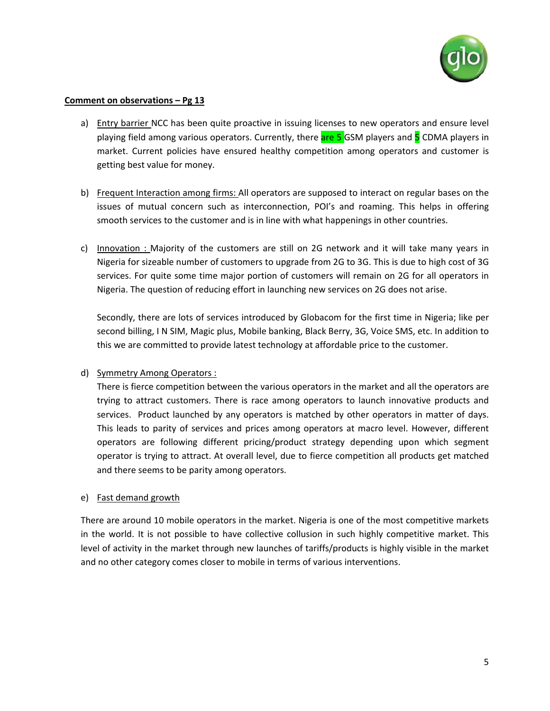

#### **Comment on observations – Pg 13**

- a) Entry barrier NCC has been quite proactive in issuing licenses to new operators and ensure level playing field among various operators. Currently, there are 5 GSM players and 5 CDMA players in market. Current policies have ensured healthy competition among operators and customer is getting best value for money.
- b) Frequent Interaction among firms: All operators are supposed to interact on regular bases on the issues of mutual concern such as interconnection, POI's and roaming. This helps in offering smooth services to the customer and is in line with what happenings in other countries.
- c) Innovation : Majority of the customers are still on 2G network and it will take many years in Nigeria for sizeable number of customers to upgrade from 2G to 3G. This is due to high cost of 3G services. For quite some time major portion of customers will remain on 2G for all operators in Nigeria. The question of reducing effort in launching new services on 2G does not arise.

Secondly, there are lots of services introduced by Globacom for the first time in Nigeria; like per second billing, I N SIM, Magic plus, Mobile banking, Black Berry, 3G, Voice SMS, etc. In addition to this we are committed to provide latest technology at affordable price to the customer.

## d) Symmetry Among Operators :

There is fierce competition between the various operators in the market and all the operators are trying to attract customers. There is race among operators to launch innovative products and services. Product launched by any operators is matched by other operators in matter of days. This leads to parity of services and prices among operators at macro level. However, different operators are following different pricing/product strategy depending upon which segment operator is trying to attract. At overall level, due to fierce competition all products get matched and there seems to be parity among operators.

## e) Fast demand growth

There are around 10 mobile operators in the market. Nigeria is one of the most competitive markets in the world. It is not possible to have collective collusion in such highly competitive market. This level of activity in the market through new launches of tariffs/products is highly visible in the market and no other category comes closer to mobile in terms of various interventions.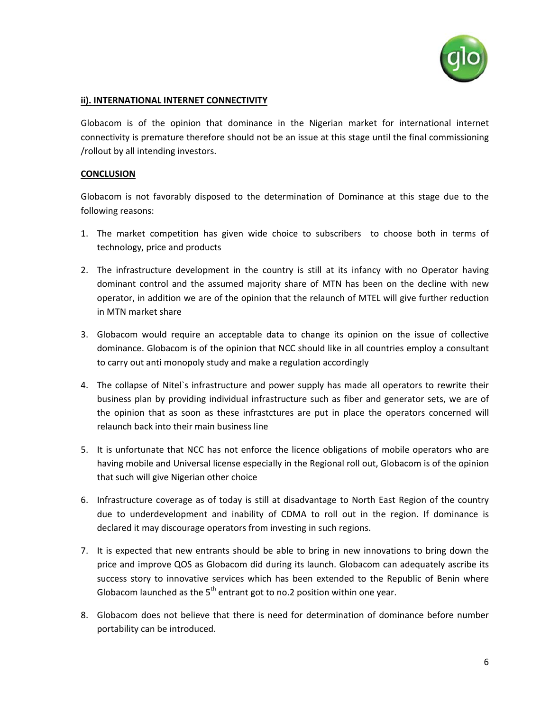

# **ii). INTERNATIONAL INTERNET CONNECTIVITY**

Globacom is of the opinion that dominance in the Nigerian market for international internet connectivity is premature therefore should not be an issue at this stage until the final commissioning /rollout by all intending investors.

# **CONCLUSION**

Globacom is not favorably disposed to the determination of Dominance at this stage due to the following reasons:

- 1. The market competition has given wide choice to subscribers to choose both in terms of technology, price and products
- 2. The infrastructure development in the country is still at its infancy with no Operator having dominant control and the assumed majority share of MTN has been on the decline with new operator, in addition we are of the opinion that the relaunch of MTEL will give further reduction in MTN market share
- 3. Globacom would require an acceptable data to change its opinion on the issue of collective dominance. Globacom is of the opinion that NCC should like in all countries employ a consultant to carry out anti monopoly study and make a regulation accordingly
- 4. The collapse of Nitel`s infrastructure and power supply has made all operators to rewrite their business plan by providing individual infrastructure such as fiber and generator sets, we are of the opinion that as soon as these infrastctures are put in place the operators concerned will relaunch back into their main business line
- 5. It is unfortunate that NCC has not enforce the licence obligations of mobile operators who are having mobile and Universal license especially in the Regional roll out, Globacom is of the opinion that such will give Nigerian other choice
- 6. Infrastructure coverage as of today is still at disadvantage to North East Region of the country due to underdevelopment and inability of CDMA to roll out in the region. If dominance is declared it may discourage operators from investing in such regions.
- 7. It is expected that new entrants should be able to bring in new innovations to bring down the price and improve QOS as Globacom did during its launch. Globacom can adequately ascribe its success story to innovative services which has been extended to the Republic of Benin where Globacom launched as the  $5<sup>th</sup>$  entrant got to no.2 position within one year.
- 8. Globacom does not believe that there is need for determination of dominance before number portability can be introduced.